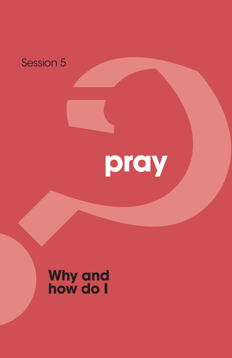

# **pray**

## **Why and how do I**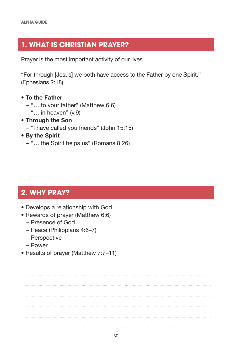#### **1. WHAT IS CHRISTIAN PRAYER?**

Prayer is the most important activity of our lives.

"For through [Jesus] we both have access to the Father by one Spirit." (Ephesians 2:18)

- **To the Father**
	- "… to your father" (Matthew 6:6)
	- $-$  "... in heaven" (v.9)
- **Through the Son** – "I have called you friends" (John 15:15)
- **By the Spirit** – "… the Spirit helps us" (Romans 8:26)

#### **2. WHY PRAY?**

- Develops a relationship with God
- Rewards of prayer (Matthew 6:6)
	- Presence of God
	- Peace (Philippians 4:6–7)
	- Perspective
	- Power
- Results of prayer (Matthew 7:7–11)

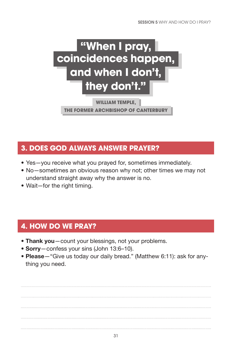

**WILLIAM TEMPLE,** 

**THE FORMER ARCHBISHOP OF CANTERBURY**

#### **3. DOES GOD ALWAYS ANSWER PRAYER?**

- Yes—you receive what you prayed for, sometimes immediately.
- No—sometimes an obvious reason why not; other times we may not understand straight away why the answer is no.
- Wait—for the right timing.

### **4. HOW DO WE PRAY?**

- **Thank you**—count your blessings, not your problems.
- **Sorry**—confess your sins (John 13:6–10).
- **Please**—"Give us today our daily bread." (Matthew 6:11): ask for anything you need.